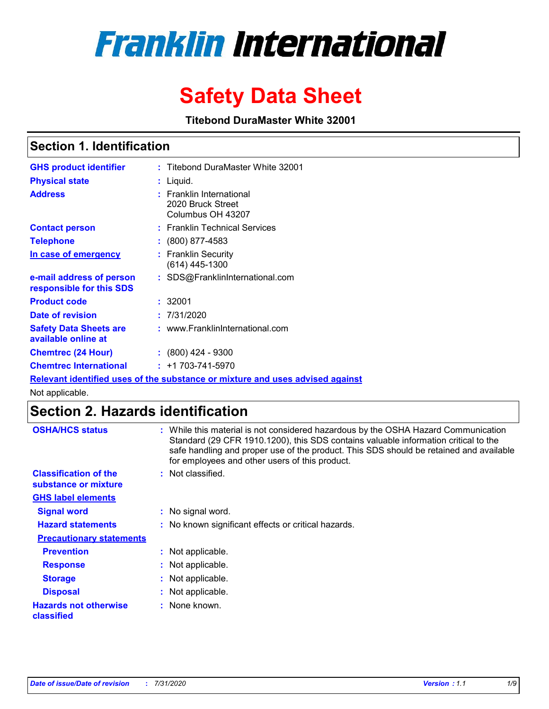# **Franklin International**

## **Safety Data Sheet**

**Titebond DuraMaster White 32001**

## **Section 1. Identification**

| <b>GHS product identifier</b>                        | : Titebond DuraMaster White 32001                                             |
|------------------------------------------------------|-------------------------------------------------------------------------------|
| <b>Physical state</b>                                | : Liquid.                                                                     |
| <b>Address</b>                                       | : Franklin International<br>2020 Bruck Street<br>Columbus OH 43207            |
| <b>Contact person</b>                                | : Franklin Technical Services                                                 |
| <b>Telephone</b>                                     | : (800) 877-4583                                                              |
| In case of emergency                                 | : Franklin Security<br>$(614)$ 445-1300                                       |
| e-mail address of person<br>responsible for this SDS | : SDS@FranklinInternational.com                                               |
| <b>Product code</b>                                  | : 32001                                                                       |
| Date of revision                                     | : 7/31/2020                                                                   |
| <b>Safety Data Sheets are</b><br>available online at | : www.FranklinInternational.com                                               |
| <b>Chemtrec (24 Hour)</b>                            | $: (800)$ 424 - 9300                                                          |
| <b>Chemtrec International</b>                        | $: +1703 - 741 - 5970$                                                        |
|                                                      | Relevant identified uses of the substance or mixture and uses advised against |

Not applicable.

## **Section 2. Hazards identification**

| <b>OSHA/HCS status</b>                               | : While this material is not considered hazardous by the OSHA Hazard Communication<br>Standard (29 CFR 1910.1200), this SDS contains valuable information critical to the<br>safe handling and proper use of the product. This SDS should be retained and available<br>for employees and other users of this product. |
|------------------------------------------------------|-----------------------------------------------------------------------------------------------------------------------------------------------------------------------------------------------------------------------------------------------------------------------------------------------------------------------|
| <b>Classification of the</b><br>substance or mixture | : Not classified.                                                                                                                                                                                                                                                                                                     |
| <b>GHS label elements</b>                            |                                                                                                                                                                                                                                                                                                                       |
| <b>Signal word</b>                                   | : No signal word.                                                                                                                                                                                                                                                                                                     |
| <b>Hazard statements</b>                             | : No known significant effects or critical hazards.                                                                                                                                                                                                                                                                   |
| <b>Precautionary statements</b>                      |                                                                                                                                                                                                                                                                                                                       |
| <b>Prevention</b>                                    | : Not applicable.                                                                                                                                                                                                                                                                                                     |
| <b>Response</b>                                      | : Not applicable.                                                                                                                                                                                                                                                                                                     |
| <b>Storage</b>                                       | : Not applicable.                                                                                                                                                                                                                                                                                                     |
| <b>Disposal</b>                                      | : Not applicable.                                                                                                                                                                                                                                                                                                     |
| <b>Hazards not otherwise</b><br>classified           | : None known.                                                                                                                                                                                                                                                                                                         |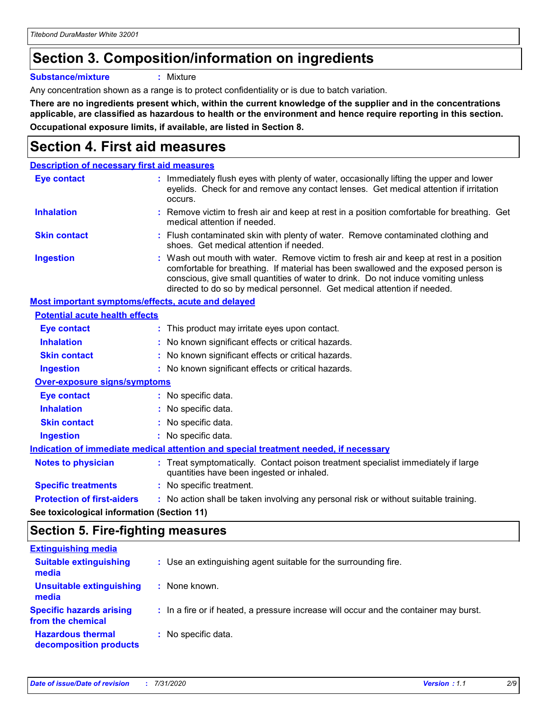## **Section 3. Composition/information on ingredients**

**Substance/mixture :** Mixture

Any concentration shown as a range is to protect confidentiality or is due to batch variation.

**There are no ingredients present which, within the current knowledge of the supplier and in the concentrations applicable, are classified as hazardous to health or the environment and hence require reporting in this section. Occupational exposure limits, if available, are listed in Section 8.**

## **Section 4. First aid measures**

| <b>Description of necessary first aid measures</b>        |                                                                                                                                                                                                                                                                                                                                                |
|-----------------------------------------------------------|------------------------------------------------------------------------------------------------------------------------------------------------------------------------------------------------------------------------------------------------------------------------------------------------------------------------------------------------|
| <b>Eye contact</b>                                        | : Immediately flush eyes with plenty of water, occasionally lifting the upper and lower<br>eyelids. Check for and remove any contact lenses. Get medical attention if irritation<br>occurs.                                                                                                                                                    |
| <b>Inhalation</b>                                         | : Remove victim to fresh air and keep at rest in a position comfortable for breathing. Get<br>medical attention if needed.                                                                                                                                                                                                                     |
| <b>Skin contact</b>                                       | : Flush contaminated skin with plenty of water. Remove contaminated clothing and<br>shoes. Get medical attention if needed.                                                                                                                                                                                                                    |
| <b>Ingestion</b>                                          | : Wash out mouth with water. Remove victim to fresh air and keep at rest in a position<br>comfortable for breathing. If material has been swallowed and the exposed person is<br>conscious, give small quantities of water to drink. Do not induce vomiting unless<br>directed to do so by medical personnel. Get medical attention if needed. |
| <b>Most important symptoms/effects, acute and delayed</b> |                                                                                                                                                                                                                                                                                                                                                |
| <b>Potential acute health effects</b>                     |                                                                                                                                                                                                                                                                                                                                                |
| <b>Eye contact</b>                                        | : This product may irritate eyes upon contact.                                                                                                                                                                                                                                                                                                 |
| <b>Inhalation</b>                                         | : No known significant effects or critical hazards.                                                                                                                                                                                                                                                                                            |
| <b>Skin contact</b>                                       | : No known significant effects or critical hazards.                                                                                                                                                                                                                                                                                            |
| <b>Ingestion</b>                                          | : No known significant effects or critical hazards.                                                                                                                                                                                                                                                                                            |
| <b>Over-exposure signs/symptoms</b>                       |                                                                                                                                                                                                                                                                                                                                                |
| Eye contact                                               | : No specific data.                                                                                                                                                                                                                                                                                                                            |
| <b>Inhalation</b>                                         | : No specific data.                                                                                                                                                                                                                                                                                                                            |
| <b>Skin contact</b>                                       | : No specific data.                                                                                                                                                                                                                                                                                                                            |
| <b>Ingestion</b>                                          | : No specific data.                                                                                                                                                                                                                                                                                                                            |
|                                                           | Indication of immediate medical attention and special treatment needed, if necessary                                                                                                                                                                                                                                                           |
| <b>Notes to physician</b>                                 | : Treat symptomatically. Contact poison treatment specialist immediately if large<br>quantities have been ingested or inhaled.                                                                                                                                                                                                                 |
| <b>Specific treatments</b>                                | : No specific treatment.                                                                                                                                                                                                                                                                                                                       |
| <b>Protection of first-aiders</b>                         | : No action shall be taken involving any personal risk or without suitable training.                                                                                                                                                                                                                                                           |
|                                                           |                                                                                                                                                                                                                                                                                                                                                |

**See toxicological information (Section 11)**

## **Section 5. Fire-fighting measures**

| <b>Extinguishing media</b>                           |                                                                                       |
|------------------------------------------------------|---------------------------------------------------------------------------------------|
| <b>Suitable extinguishing</b><br>media               | : Use an extinguishing agent suitable for the surrounding fire.                       |
| Unsuitable extinguishing<br>media                    | : None known.                                                                         |
| <b>Specific hazards arising</b><br>from the chemical | : In a fire or if heated, a pressure increase will occur and the container may burst. |
| <b>Hazardous thermal</b><br>decomposition products   | : No specific data.                                                                   |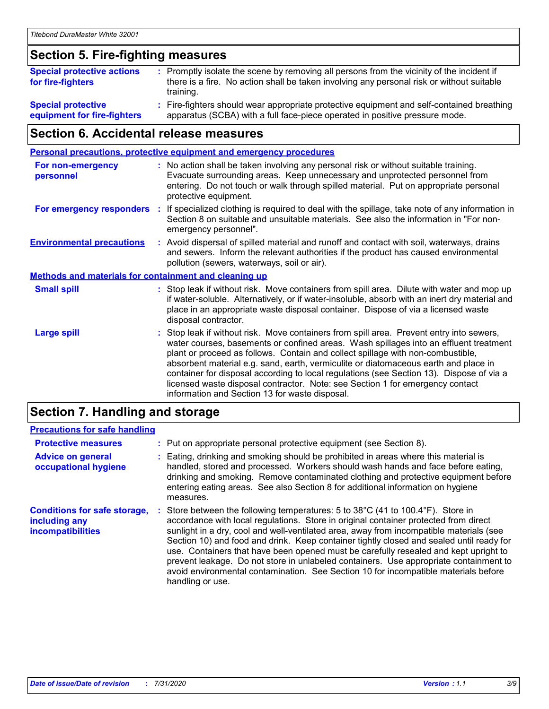## **Section 5. Fire-fighting measures**

| <b>Special protective actions</b><br>for fire-fighters | : Promptly isolate the scene by removing all persons from the vicinity of the incident if<br>there is a fire. No action shall be taken involving any personal risk or without suitable<br>training. |
|--------------------------------------------------------|-----------------------------------------------------------------------------------------------------------------------------------------------------------------------------------------------------|
| <b>Special protective</b>                              | Fire-fighters should wear appropriate protective equipment and self-contained breathing                                                                                                             |
| equipment for fire-fighters                            | apparatus (SCBA) with a full face-piece operated in positive pressure mode.                                                                                                                         |

## **Section 6. Accidental release measures**

| <b>Personal precautions, protective equipment and emergency procedures</b> |    |                                                                                                                                                                                                                                                                                                                                                                                                                                                                                                                                                                                            |
|----------------------------------------------------------------------------|----|--------------------------------------------------------------------------------------------------------------------------------------------------------------------------------------------------------------------------------------------------------------------------------------------------------------------------------------------------------------------------------------------------------------------------------------------------------------------------------------------------------------------------------------------------------------------------------------------|
| <b>For non-emergency</b><br>personnel                                      |    | : No action shall be taken involving any personal risk or without suitable training.<br>Evacuate surrounding areas. Keep unnecessary and unprotected personnel from<br>entering. Do not touch or walk through spilled material. Put on appropriate personal<br>protective equipment.                                                                                                                                                                                                                                                                                                       |
| For emergency responders                                                   | ÷. | If specialized clothing is required to deal with the spillage, take note of any information in<br>Section 8 on suitable and unsuitable materials. See also the information in "For non-<br>emergency personnel".                                                                                                                                                                                                                                                                                                                                                                           |
| <b>Environmental precautions</b>                                           |    | : Avoid dispersal of spilled material and runoff and contact with soil, waterways, drains<br>and sewers. Inform the relevant authorities if the product has caused environmental<br>pollution (sewers, waterways, soil or air).                                                                                                                                                                                                                                                                                                                                                            |
| <b>Methods and materials for containment and cleaning up</b>               |    |                                                                                                                                                                                                                                                                                                                                                                                                                                                                                                                                                                                            |
| <b>Small spill</b>                                                         |    | : Stop leak if without risk. Move containers from spill area. Dilute with water and mop up<br>if water-soluble. Alternatively, or if water-insoluble, absorb with an inert dry material and<br>place in an appropriate waste disposal container. Dispose of via a licensed waste<br>disposal contractor.                                                                                                                                                                                                                                                                                   |
| <b>Large spill</b>                                                         |    | : Stop leak if without risk. Move containers from spill area. Prevent entry into sewers,<br>water courses, basements or confined areas. Wash spillages into an effluent treatment<br>plant or proceed as follows. Contain and collect spillage with non-combustible,<br>absorbent material e.g. sand, earth, vermiculite or diatomaceous earth and place in<br>container for disposal according to local regulations (see Section 13). Dispose of via a<br>licensed waste disposal contractor. Note: see Section 1 for emergency contact<br>information and Section 13 for waste disposal. |
|                                                                            |    |                                                                                                                                                                                                                                                                                                                                                                                                                                                                                                                                                                                            |

#### **Section 7. Handling and storage**

#### **Precautions for safe handling**

| <b>Protective measures</b>                                                       | : Put on appropriate personal protective equipment (see Section 8).                                                                                                                                                                                                                                                                                                                                                                                                                                                                                                                                                                                      |
|----------------------------------------------------------------------------------|----------------------------------------------------------------------------------------------------------------------------------------------------------------------------------------------------------------------------------------------------------------------------------------------------------------------------------------------------------------------------------------------------------------------------------------------------------------------------------------------------------------------------------------------------------------------------------------------------------------------------------------------------------|
| <b>Advice on general</b><br>occupational hygiene                                 | : Eating, drinking and smoking should be prohibited in areas where this material is<br>handled, stored and processed. Workers should wash hands and face before eating,<br>drinking and smoking. Remove contaminated clothing and protective equipment before<br>entering eating areas. See also Section 8 for additional information on hygiene<br>measures.                                                                                                                                                                                                                                                                                            |
| <b>Conditions for safe storage,</b><br>including any<br><b>incompatibilities</b> | Store between the following temperatures: 5 to 38°C (41 to 100.4°F). Store in<br>accordance with local regulations. Store in original container protected from direct<br>sunlight in a dry, cool and well-ventilated area, away from incompatible materials (see<br>Section 10) and food and drink. Keep container tightly closed and sealed until ready for<br>use. Containers that have been opened must be carefully resealed and kept upright to<br>prevent leakage. Do not store in unlabeled containers. Use appropriate containment to<br>avoid environmental contamination. See Section 10 for incompatible materials before<br>handling or use. |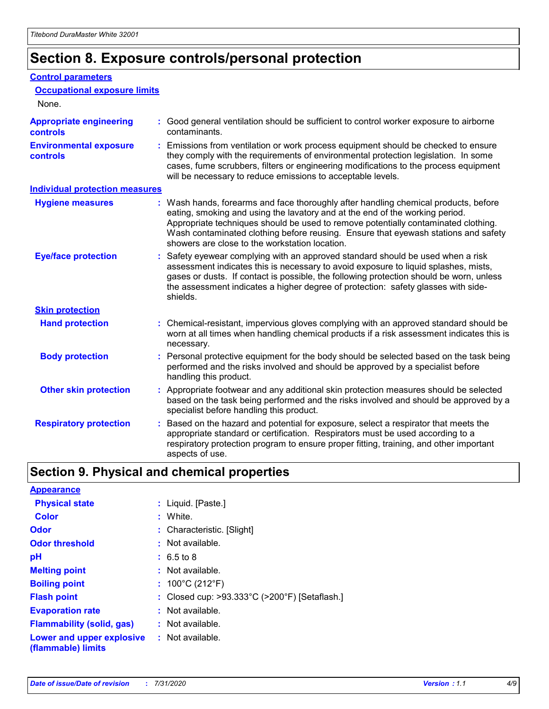## **Section 8. Exposure controls/personal protection**

#### **Control parameters**

| <b>Occupational exposure limits</b><br>None.      |                                                                                                                                                                                                                                                                                                                                                                                                   |
|---------------------------------------------------|---------------------------------------------------------------------------------------------------------------------------------------------------------------------------------------------------------------------------------------------------------------------------------------------------------------------------------------------------------------------------------------------------|
| <b>Appropriate engineering</b><br><b>controls</b> | : Good general ventilation should be sufficient to control worker exposure to airborne<br>contaminants.                                                                                                                                                                                                                                                                                           |
| <b>Environmental exposure</b><br><b>controls</b>  | : Emissions from ventilation or work process equipment should be checked to ensure<br>they comply with the requirements of environmental protection legislation. In some<br>cases, fume scrubbers, filters or engineering modifications to the process equipment<br>will be necessary to reduce emissions to acceptable levels.                                                                   |
| <b>Individual protection measures</b>             |                                                                                                                                                                                                                                                                                                                                                                                                   |
| <b>Hygiene measures</b>                           | : Wash hands, forearms and face thoroughly after handling chemical products, before<br>eating, smoking and using the lavatory and at the end of the working period.<br>Appropriate techniques should be used to remove potentially contaminated clothing.<br>Wash contaminated clothing before reusing. Ensure that eyewash stations and safety<br>showers are close to the workstation location. |
| <b>Eye/face protection</b>                        | : Safety eyewear complying with an approved standard should be used when a risk<br>assessment indicates this is necessary to avoid exposure to liquid splashes, mists,<br>gases or dusts. If contact is possible, the following protection should be worn, unless<br>the assessment indicates a higher degree of protection: safety glasses with side-<br>shields.                                |
| <b>Skin protection</b>                            |                                                                                                                                                                                                                                                                                                                                                                                                   |
| <b>Hand protection</b>                            | : Chemical-resistant, impervious gloves complying with an approved standard should be<br>worn at all times when handling chemical products if a risk assessment indicates this is<br>necessary.                                                                                                                                                                                                   |
| <b>Body protection</b>                            | : Personal protective equipment for the body should be selected based on the task being<br>performed and the risks involved and should be approved by a specialist before<br>handling this product.                                                                                                                                                                                               |
| <b>Other skin protection</b>                      | : Appropriate footwear and any additional skin protection measures should be selected<br>based on the task being performed and the risks involved and should be approved by a<br>specialist before handling this product.                                                                                                                                                                         |
| <b>Respiratory protection</b>                     | Based on the hazard and potential for exposure, select a respirator that meets the<br>appropriate standard or certification. Respirators must be used according to a<br>respiratory protection program to ensure proper fitting, training, and other important<br>aspects of use.                                                                                                                 |

## **Section 9. Physical and chemical properties**

| <b>Appearance</b>                                                       |                                               |
|-------------------------------------------------------------------------|-----------------------------------------------|
| <b>Physical state</b>                                                   | : Liquid. [Paste.]                            |
| <b>Color</b>                                                            | : White.                                      |
| Odor                                                                    | : Characteristic. [Slight]                    |
| <b>Odor threshold</b>                                                   | $:$ Not available.                            |
| рH                                                                      | $: 6.5 \text{ to } 8$                         |
| <b>Melting point</b>                                                    | : Not available.                              |
| <b>Boiling point</b>                                                    | : $100^{\circ}$ C (212 $^{\circ}$ F)          |
| <b>Flash point</b>                                                      | : Closed cup: >93.333°C (>200°F) [Setaflash.] |
| <b>Evaporation rate</b>                                                 | : Not available.                              |
| <b>Flammability (solid, gas)</b>                                        | : Not available.                              |
| <b>Lower and upper explosive : Not available.</b><br>(flammable) limits |                                               |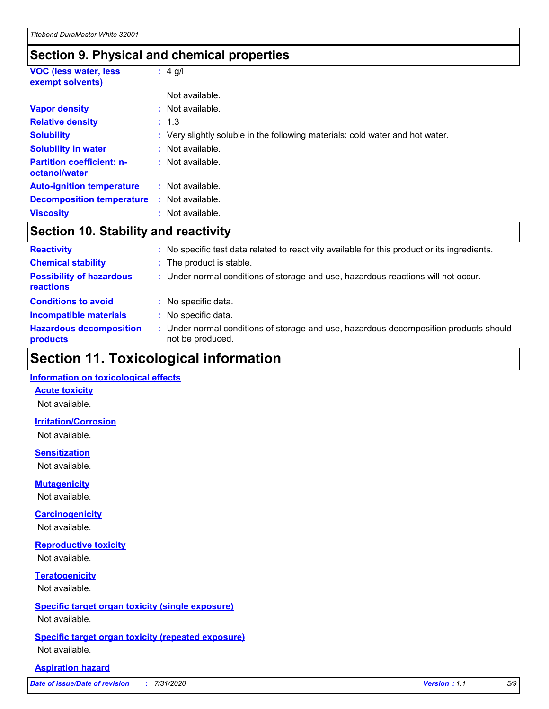### **Section 9. Physical and chemical properties**

| <b>VOC (less water, less)</b><br>exempt solvents) | $: 4$ g/l                                                                     |
|---------------------------------------------------|-------------------------------------------------------------------------------|
|                                                   | Not available.                                                                |
| <b>Vapor density</b>                              | $:$ Not available.                                                            |
| <b>Relative density</b>                           | : 1.3                                                                         |
| <b>Solubility</b>                                 | : Very slightly soluble in the following materials: cold water and hot water. |
| <b>Solubility in water</b>                        | : Not available.                                                              |
| <b>Partition coefficient: n-</b><br>octanol/water | : Not available.                                                              |
| <b>Auto-ignition temperature</b>                  | : Not available.                                                              |
| <b>Decomposition temperature</b>                  | : Not available.                                                              |
| <b>Viscosity</b>                                  | : Not available.                                                              |

## **Section 10. Stability and reactivity**

| <b>Reactivity</b>                            | : No specific test data related to reactivity available for this product or its ingredients.              |
|----------------------------------------------|-----------------------------------------------------------------------------------------------------------|
| <b>Chemical stability</b>                    | : The product is stable.                                                                                  |
| <b>Possibility of hazardous</b><br>reactions | : Under normal conditions of storage and use, hazardous reactions will not occur.                         |
| <b>Conditions to avoid</b>                   | : No specific data.                                                                                       |
| <b>Incompatible materials</b>                | : No specific data.                                                                                       |
| <b>Hazardous decomposition</b><br>products   | : Under normal conditions of storage and use, hazardous decomposition products should<br>not be produced. |

## **Section 11. Toxicological information**

#### **Information on toxicological effects**

#### **Acute toxicity**

Not available.

#### **Irritation/Corrosion**

Not available.

#### **Sensitization**

Not available.

#### **Mutagenicity**

Not available.

#### **Carcinogenicity**

Not available.

#### **Reproductive toxicity**

Not available.

#### **Teratogenicity**

Not available.

#### **Specific target organ toxicity (single exposure)**

Not available.

#### **Specific target organ toxicity (repeated exposure)** Not available.

#### **Aspiration hazard**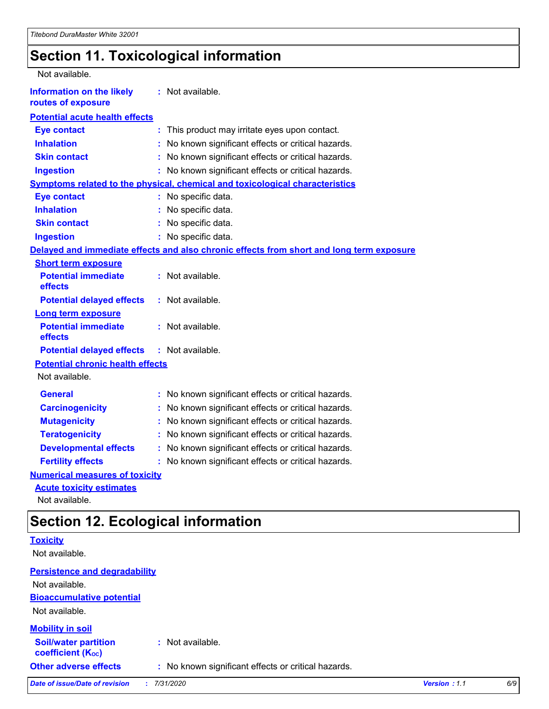## **Section 11. Toxicological information**

| Not available.                                         |                                                                                          |
|--------------------------------------------------------|------------------------------------------------------------------------------------------|
| <b>Information on the likely</b><br>routes of exposure | : Not available.                                                                         |
| <b>Potential acute health effects</b>                  |                                                                                          |
| <b>Eye contact</b>                                     | : This product may irritate eyes upon contact.                                           |
| <b>Inhalation</b>                                      | No known significant effects or critical hazards.                                        |
| <b>Skin contact</b>                                    | No known significant effects or critical hazards.<br>÷.                                  |
| <b>Ingestion</b>                                       | : No known significant effects or critical hazards.                                      |
|                                                        | Symptoms related to the physical, chemical and toxicological characteristics             |
| <b>Eye contact</b>                                     | : No specific data.                                                                      |
| <b>Inhalation</b>                                      | : No specific data.                                                                      |
| <b>Skin contact</b>                                    | : No specific data.                                                                      |
| <b>Ingestion</b>                                       | : No specific data.                                                                      |
|                                                        | Delayed and immediate effects and also chronic effects from short and long term exposure |
| <b>Short term exposure</b>                             |                                                                                          |
| <b>Potential immediate</b><br>effects                  | : Not available.                                                                         |
| <b>Potential delayed effects</b>                       | $:$ Not available.                                                                       |
| <b>Long term exposure</b>                              |                                                                                          |
| <b>Potential immediate</b><br>effects                  | : Not available.                                                                         |
| <b>Potential delayed effects</b>                       | : Not available.                                                                         |
| <b>Potential chronic health effects</b>                |                                                                                          |
| Not available.                                         |                                                                                          |
| <b>General</b>                                         | : No known significant effects or critical hazards.                                      |
| <b>Carcinogenicity</b>                                 | No known significant effects or critical hazards.                                        |
| <b>Mutagenicity</b>                                    | No known significant effects or critical hazards.<br>÷.                                  |
| <b>Teratogenicity</b>                                  | No known significant effects or critical hazards.                                        |
| <b>Developmental effects</b>                           | No known significant effects or critical hazards.<br>t.                                  |
| <b>Fertility effects</b>                               | No known significant effects or critical hazards.<br>÷.                                  |
| <b>Numerical measures of toxicity</b>                  |                                                                                          |
| <b>Acute toxicity estimates</b>                        |                                                                                          |

Not available.

## **Section 12. Ecological information**

|                                                         | ັ                                                   |              |     |
|---------------------------------------------------------|-----------------------------------------------------|--------------|-----|
| <b>Toxicity</b>                                         |                                                     |              |     |
| Not available.                                          |                                                     |              |     |
| <b>Persistence and degradability</b>                    |                                                     |              |     |
| Not available.                                          |                                                     |              |     |
| <b>Bioaccumulative potential</b>                        |                                                     |              |     |
| Not available.                                          |                                                     |              |     |
| <b>Mobility in soil</b>                                 |                                                     |              |     |
| <b>Soil/water partition</b><br><b>coefficient (Koc)</b> | : Not available.                                    |              |     |
| <b>Other adverse effects</b>                            | : No known significant effects or critical hazards. |              |     |
| Date of issue/Date of revision                          | 7/31/2020                                           | Version: 1.1 | 6/9 |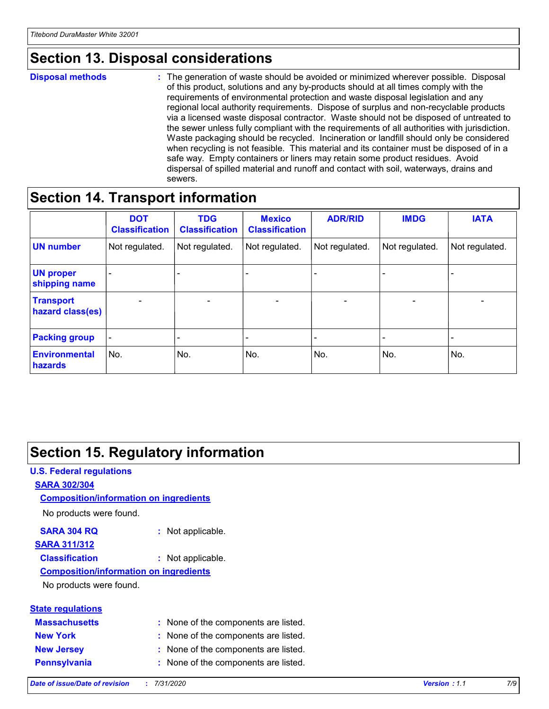## **Section 13. Disposal considerations**

#### **Disposal methods :**

The generation of waste should be avoided or minimized wherever possible. Disposal of this product, solutions and any by-products should at all times comply with the requirements of environmental protection and waste disposal legislation and any regional local authority requirements. Dispose of surplus and non-recyclable products via a licensed waste disposal contractor. Waste should not be disposed of untreated to the sewer unless fully compliant with the requirements of all authorities with jurisdiction. Waste packaging should be recycled. Incineration or landfill should only be considered when recycling is not feasible. This material and its container must be disposed of in a safe way. Empty containers or liners may retain some product residues. Avoid dispersal of spilled material and runoff and contact with soil, waterways, drains and sewers.

## **Section 14. Transport information**

|                                      | <b>DOT</b><br><b>Classification</b> | <b>TDG</b><br><b>Classification</b> | <b>Mexico</b><br><b>Classification</b> | <b>ADR/RID</b>           | <b>IMDG</b>              | <b>IATA</b>              |
|--------------------------------------|-------------------------------------|-------------------------------------|----------------------------------------|--------------------------|--------------------------|--------------------------|
| <b>UN number</b>                     | Not regulated.                      | Not regulated.                      | Not regulated.                         | Not regulated.           | Not regulated.           | Not regulated.           |
| <b>UN proper</b><br>shipping name    | $\qquad \qquad -$                   | $\qquad \qquad -$                   |                                        |                          |                          | $\overline{\phantom{0}}$ |
| <b>Transport</b><br>hazard class(es) | $\overline{\phantom{a}}$            | $\overline{\phantom{a}}$            | $\overline{\phantom{a}}$               | $\overline{\phantom{a}}$ | $\overline{\phantom{a}}$ | $\overline{\phantom{a}}$ |
| <b>Packing group</b>                 | $\overline{\phantom{a}}$            |                                     |                                        | -                        |                          | -                        |
| <b>Environmental</b><br>hazards      | No.                                 | No.                                 | No.                                    | No.                      | No.                      | No.                      |

## **Section 15. Regulatory information**

#### **U.S. Federal regulations SARA 302/304** No products were found. **Composition/information on ingredients**

#### **SARA 304 RQ :** Not applicable.

#### **SARA 311/312**

**Classification :** Not applicable.

#### **Composition/information on ingredients**

No products were found.

| <b>State regulations</b> |  |
|--------------------------|--|
| <b>Massachusetts</b>     |  |
| Nau Vark                 |  |

**:** None of the components are listed.

- **New York :** None of the components are listed.
- **New Jersey :** None of the components are listed.
- **Pennsylvania :** None of the components are listed.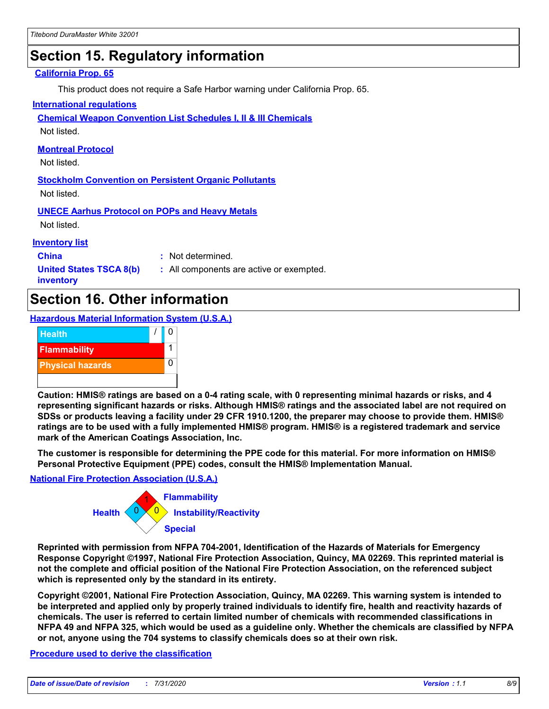## **Section 15. Regulatory information**

#### **California Prop. 65**

This product does not require a Safe Harbor warning under California Prop. 65.

#### **International regulations**

**Chemical Weapon Convention List Schedules I, II & III Chemicals**

Not listed.

#### **Montreal Protocol**

Not listed.

**Stockholm Convention on Persistent Organic Pollutants** Not listed.

**UNECE Aarhus Protocol on POPs and Heavy Metals**

Not listed.

#### **Inventory list**

**China :** Not determined.

**United States TSCA 8(b) inventory**

**:** All components are active or exempted.

## **Section 16. Other information**

**Hazardous Material Information System (U.S.A.)**



**Caution: HMIS® ratings are based on a 0-4 rating scale, with 0 representing minimal hazards or risks, and 4 representing significant hazards or risks. Although HMIS® ratings and the associated label are not required on SDSs or products leaving a facility under 29 CFR 1910.1200, the preparer may choose to provide them. HMIS® ratings are to be used with a fully implemented HMIS® program. HMIS® is a registered trademark and service mark of the American Coatings Association, Inc.**

**The customer is responsible for determining the PPE code for this material. For more information on HMIS® Personal Protective Equipment (PPE) codes, consult the HMIS® Implementation Manual.**

#### **National Fire Protection Association (U.S.A.)**



**Reprinted with permission from NFPA 704-2001, Identification of the Hazards of Materials for Emergency Response Copyright ©1997, National Fire Protection Association, Quincy, MA 02269. This reprinted material is not the complete and official position of the National Fire Protection Association, on the referenced subject which is represented only by the standard in its entirety.**

**Copyright ©2001, National Fire Protection Association, Quincy, MA 02269. This warning system is intended to be interpreted and applied only by properly trained individuals to identify fire, health and reactivity hazards of chemicals. The user is referred to certain limited number of chemicals with recommended classifications in NFPA 49 and NFPA 325, which would be used as a guideline only. Whether the chemicals are classified by NFPA or not, anyone using the 704 systems to classify chemicals does so at their own risk.**

#### **Procedure used to derive the classification**